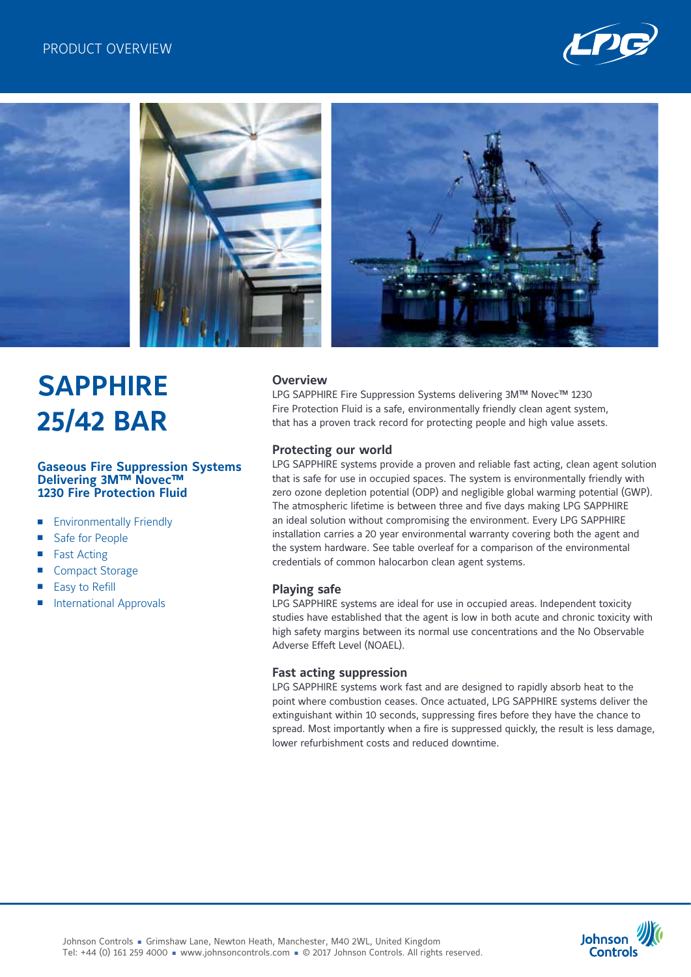



# **SAPPHIRE 25/42 BAR**

#### **Gaseous Fire Suppression Systems Delivering 3M™ Novec™ 1230 Fire Protection Fluid**

- Environmentally Friendly
- Safe for People
- **Fast Acting**
- **Compact Storage**
- Easy to Refill
- International Approvals

# **Overview**

LPG SAPPHIRE Fire Suppression Systems delivering 3M™ Novec™ 1230 Fire Protection Fluid is a safe, environmentally friendly clean agent system, that has a proven track record for protecting people and high value assets.

# **Protecting our world**

LPG SAPPHIRE systems provide a proven and reliable fast acting, clean agent solution that is safe for use in occupied spaces. The system is environmentally friendly with zero ozone depletion potential (ODP) and negligible global warming potential (GWP). The atmospheric lifetime is between three and five days making LPG SAPPHIRE an ideal solution without compromising the environment. Every LPG SAPPHIRE installation carries a 20 year environmental warranty covering both the agent and the system hardware. See table overleaf for a comparison of the environmental credentials of common halocarbon clean agent systems.

#### **Playing safe**

LPG SAPPHIRE systems are ideal for use in occupied areas. Independent toxicity studies have established that the agent is low in both acute and chronic toxicity with high safety margins between its normal use concentrations and the No Observable Adverse Effeft Level (NOAEL).

#### **Fast acting suppression**

LPG SAPPHIRE systems work fast and are designed to rapidly absorb heat to the point where combustion ceases. Once actuated, LPG SAPPHIRE systems deliver the extinguishant within 10 seconds, suppressing fires before they have the chance to spread. Most importantly when a fire is suppressed quickly, the result is less damage, lower refurbishment costs and reduced downtime.